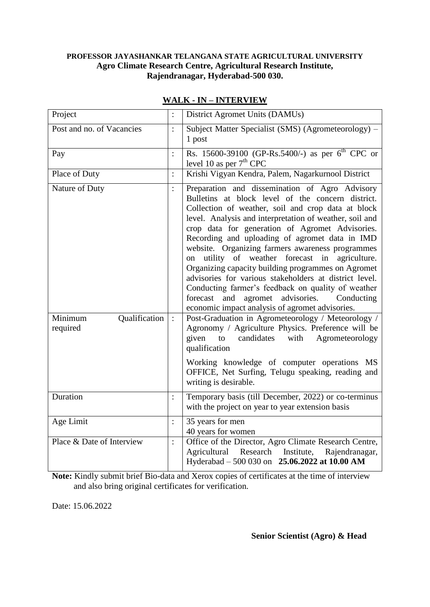## **PROFESSOR JAYASHANKAR TELANGANA STATE AGRICULTURAL UNIVERSITY Agro Climate Research Centre, Agricultural Research Institute, Rajendranagar, Hyderabad-500 030.**

| Project                              | $\vdots$       | District Agromet Units (DAMUs)                                                                                                                                                                                                                                                                                                                                                                                                                                                                                                                                                                                                                                                                                      |
|--------------------------------------|----------------|---------------------------------------------------------------------------------------------------------------------------------------------------------------------------------------------------------------------------------------------------------------------------------------------------------------------------------------------------------------------------------------------------------------------------------------------------------------------------------------------------------------------------------------------------------------------------------------------------------------------------------------------------------------------------------------------------------------------|
| Post and no. of Vacancies            | $\vdots$       | Subject Matter Specialist (SMS) (Agrometeorology) –<br>1 post                                                                                                                                                                                                                                                                                                                                                                                                                                                                                                                                                                                                                                                       |
| Pay                                  | $\vdots$       | Rs. 15600-39100 (GP-Rs.5400/-) as per $6^{th}$ CPC or<br>level 10 as per $7th$ CPC                                                                                                                                                                                                                                                                                                                                                                                                                                                                                                                                                                                                                                  |
| Place of Duty                        | $\vdots$       | Krishi Vigyan Kendra, Palem, Nagarkurnool District                                                                                                                                                                                                                                                                                                                                                                                                                                                                                                                                                                                                                                                                  |
| Nature of Duty                       | $\ddot{\cdot}$ | Preparation and dissemination of Agro Advisory<br>Bulletins at block level of the concern district.<br>Collection of weather, soil and crop data at block<br>level. Analysis and interpretation of weather, soil and<br>crop data for generation of Agromet Advisories.<br>Recording and uploading of agromet data in IMD<br>website. Organizing farmers awareness programmes<br>utility of weather forecast in<br>agriculture.<br>on<br>Organizing capacity building programmes on Agromet<br>advisories for various stakeholders at district level.<br>Conducting farmer's feedback on quality of weather<br>forecast and<br>agromet advisories.<br>Conducting<br>economic impact analysis of agromet advisories. |
| Qualification<br>Minimum<br>required | $\therefore$   | Post-Graduation in Agrometeorology / Meteorology /<br>Agronomy / Agriculture Physics. Preference will be<br>to candidates<br>with<br>Agrometeorology<br>given<br>qualification<br>Working knowledge of computer operations MS<br>OFFICE, Net Surfing, Telugu speaking, reading and<br>writing is desirable.                                                                                                                                                                                                                                                                                                                                                                                                         |
| Duration                             | $\ddot{\cdot}$ | Temporary basis (till December, 2022) or co-terminus<br>with the project on year to year extension basis                                                                                                                                                                                                                                                                                                                                                                                                                                                                                                                                                                                                            |
| Age Limit                            | $\vdots$       | 35 years for men<br>40 years for women                                                                                                                                                                                                                                                                                                                                                                                                                                                                                                                                                                                                                                                                              |
| Place & Date of Interview            | $\vdots$       | Office of the Director, Agro Climate Research Centre,<br>Agricultural<br>Research<br>Institute,<br>Rajendranagar,<br>Hyderabad - 500 030 on 25.06.2022 at 10.00 AM                                                                                                                                                                                                                                                                                                                                                                                                                                                                                                                                                  |

## **WALK - IN – INTERVIEW**

**Note:** Kindly submit brief Bio-data and Xerox copies of certificates at the time of interview and also bring original certificates for verification.

Date: 15.06.2022